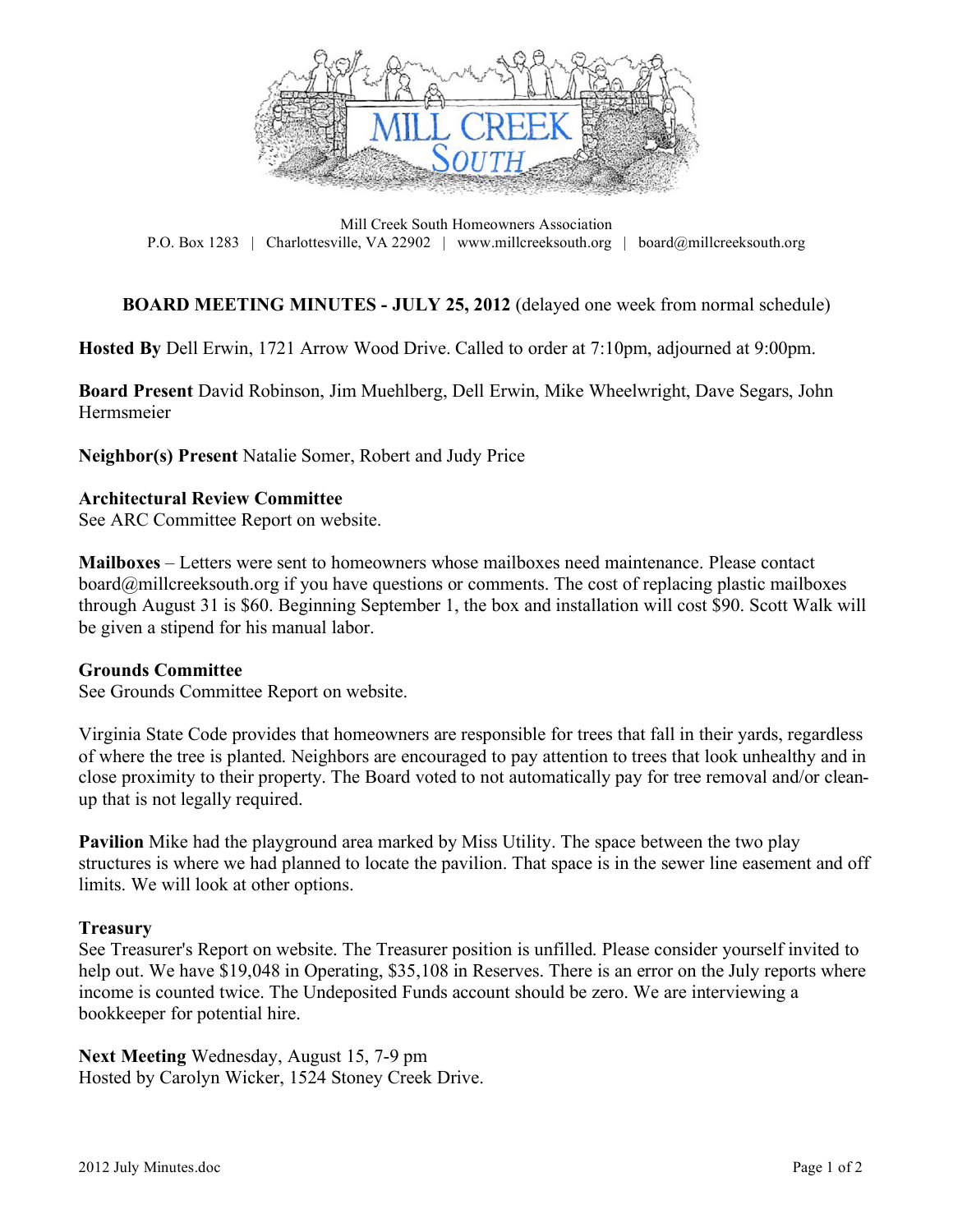

Mill Creek South Homeowners Association P.O. Box 1283 | Charlottesville, VA 22902 | www.millcreeksouth.org | board@millcreeksouth.org

## **BOARD MEETING MINUTES - JULY 25, 2012** (delayed one week from normal schedule)

**Hosted By** Dell Erwin, 1721 Arrow Wood Drive. Called to order at 7:10pm, adjourned at 9:00pm.

**Board Present** David Robinson, Jim Muehlberg, Dell Erwin, Mike Wheelwright, Dave Segars, John Hermsmeier

**Neighbor(s) Present** Natalie Somer, Robert and Judy Price

### **Architectural Review Committee**

See ARC Committee Report on website.

**Mailboxes** – Letters were sent to homeowners whose mailboxes need maintenance. Please contact board@millcreeksouth.org if you have questions or comments. The cost of replacing plastic mailboxes through August 31 is \$60. Beginning September 1, the box and installation will cost \$90. Scott Walk will be given a stipend for his manual labor.

#### **Grounds Committee**

See Grounds Committee Report on website.

Virginia State Code provides that homeowners are responsible for trees that fall in their yards, regardless of where the tree is planted. Neighbors are encouraged to pay attention to trees that look unhealthy and in close proximity to their property. The Board voted to not automatically pay for tree removal and/or cleanup that is not legally required.

**Pavilion** Mike had the playground area marked by Miss Utility. The space between the two play structures is where we had planned to locate the pavilion. That space is in the sewer line easement and off limits. We will look at other options.

#### **Treasury**

See Treasurer's Report on website. The Treasurer position is unfilled. Please consider yourself invited to help out. We have \$19,048 in Operating, \$35,108 in Reserves. There is an error on the July reports where income is counted twice. The Undeposited Funds account should be zero. We are interviewing a bookkeeper for potential hire.

**Next Meeting** Wednesday, August 15, 7-9 pm Hosted by Carolyn Wicker, 1524 Stoney Creek Drive.